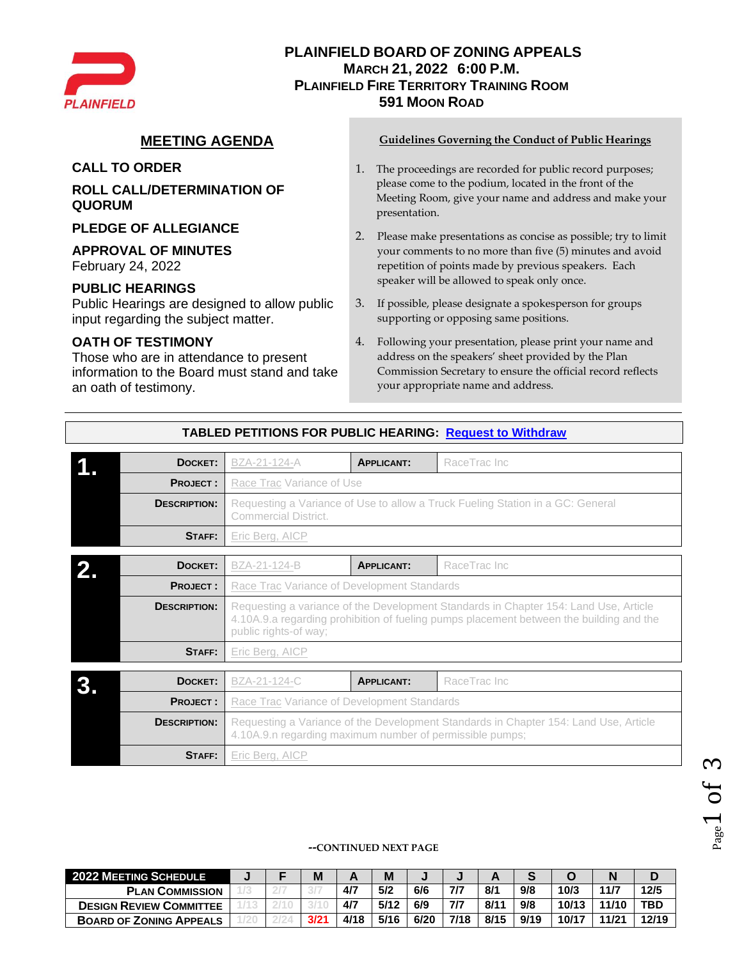

## **PLAINFIELD BOARD OF ZONING APPEALS MARCH 21, 2022 6:00 P.M. PLAINFIELD FIRE TERRITORY TRAINING ROOM 591 MOON ROAD**

**ROLL CALL/DETERMINATION OF QUORUM**

**PLEDGE OF ALLEGIANCE**

### **APPROVAL OF MINUTES**

February 24, 2022

## **PUBLIC HEARINGS**

Public Hearings are designed to allow public input regarding the subject matter.

## **OATH OF TESTIMONY**

Those who are in attendance to present information to the Board must stand and take an oath of testimony.

#### **MEETING AGENDA Guidelines Governing the Conduct of Public Hearings**

- **CALL TO ORDER** 1. The proceedings are recorded for public record purposes; please come to the podium, located in the front of the Meeting Room, give your name and address and make your presentation.
	- 2. Please make presentations as concise as possible; try to limit your comments to no more than five (5) minutes and avoid repetition of points made by previous speakers. Each speaker will be allowed to speak only once.
	- 3. If possible, please designate a spokesperson for groups supporting or opposing same positions.
	- 4. Following your presentation, please print your name and address on the speakers' sheet provided by the Plan Commission Secretary to ensure the official record reflects your appropriate name and address.

| DOCKET:             | BZA-21-124-A                                                                                                                                     | <b>APPLICANT:</b>                           | RaceTrac Inc                                                                                                                                                                    |  |  |  |  |  |  |  |  |
|---------------------|--------------------------------------------------------------------------------------------------------------------------------------------------|---------------------------------------------|---------------------------------------------------------------------------------------------------------------------------------------------------------------------------------|--|--|--|--|--|--|--|--|
| <b>PROJECT:</b>     | Race Trac Variance of Use                                                                                                                        |                                             |                                                                                                                                                                                 |  |  |  |  |  |  |  |  |
| <b>DESCRIPTION:</b> | Requesting a Variance of Use to allow a Truck Fueling Station in a GC: General<br><b>Commercial District.</b>                                    |                                             |                                                                                                                                                                                 |  |  |  |  |  |  |  |  |
| <b>STAFF:</b>       | Eric Berg, AICP                                                                                                                                  |                                             |                                                                                                                                                                                 |  |  |  |  |  |  |  |  |
| DOCKET:             | BZA-21-124-B                                                                                                                                     | <b>APPLICANT:</b>                           | RaceTrac Inc                                                                                                                                                                    |  |  |  |  |  |  |  |  |
| <b>PROJECT:</b>     | Race Trac Variance of Development Standards                                                                                                      |                                             |                                                                                                                                                                                 |  |  |  |  |  |  |  |  |
| <b>DESCRIPTION:</b> | public rights-of way;                                                                                                                            |                                             | Requesting a variance of the Development Standards in Chapter 154: Land Use, Article<br>4.10A.9.a regarding prohibition of fueling pumps placement between the building and the |  |  |  |  |  |  |  |  |
| STAFF:              | Eric Berg, AICP                                                                                                                                  |                                             |                                                                                                                                                                                 |  |  |  |  |  |  |  |  |
| DOCKET:             | BZA-21-124-C                                                                                                                                     | <b>APPLICANT:</b>                           | RaceTrac Inc                                                                                                                                                                    |  |  |  |  |  |  |  |  |
| <b>PROJECT:</b>     |                                                                                                                                                  | Race Trac Variance of Development Standards |                                                                                                                                                                                 |  |  |  |  |  |  |  |  |
| <b>DESCRIPTION:</b> | Requesting a Variance of the Development Standards in Chapter 154: Land Use, Article<br>4.10A.9.n regarding maximum number of permissible pumps; |                                             |                                                                                                                                                                                 |  |  |  |  |  |  |  |  |
| STAFF:              | Eric Berg, AICP                                                                                                                                  |                                             |                                                                                                                                                                                 |  |  |  |  |  |  |  |  |

### **TABLED PETITIONS FOR PUBLIC HEARING: [Request to Withdraw](https://s3.amazonaws.com/iworq-upload/PLAINFIELD/604/11023827-BZA%20Memorandum.pdf)**

#### **--CONTINUED NEXT PAGE**

| <b>2022 MEETING SCHEDULE</b>   |  | M   |      | M    |      |      |      |      |       |       |            |
|--------------------------------|--|-----|------|------|------|------|------|------|-------|-------|------------|
| <b>PLAN COMMISSION</b>         |  |     | 4/7  | 5/2  | 6/6  | 7/7  | 8/1  | 9/8  | 10/3  | 11/7  | 12/5       |
| <b>DESIGN REVIEW COMMITTEE</b> |  |     | 4/7  | 5/12 | 6/9  | 7/7  | 8/11 | 9/8  | 10/13 | 11/10 | <b>TBD</b> |
| <b>BOARD OF ZONING APPEALS</b> |  | 3/2 | 4/18 | 5/16 | 6/20 | 7/18 | 8/15 | 9/19 | 10/17 | 11/21 | 12/19      |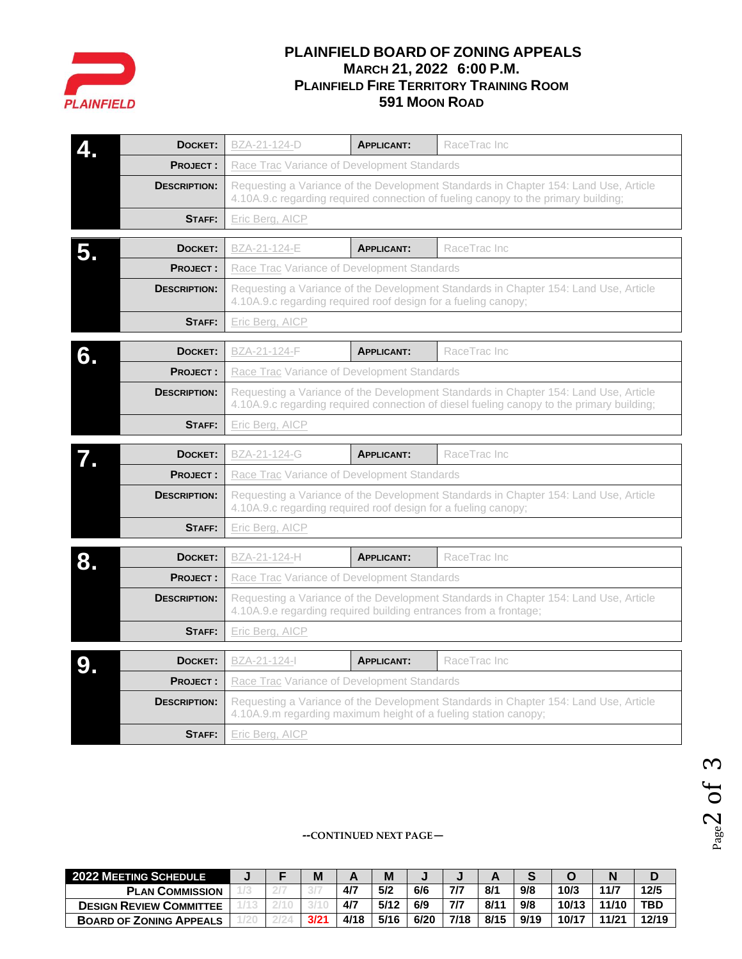

# **PLAINFIELD BOARD OF ZONING APPEALS MARCH 21, 2022 6:00 P.M. PLAINFIELD FIRE TERRITORY TRAINING ROOM 591 MOON ROAD**

|    | DOCKET:             | BZA-21-124-D                                                                                                                                                               | RaceTrac Inc                      |                                                                                                                                                                                   |  |  |  |  |  |  |  |  |
|----|---------------------|----------------------------------------------------------------------------------------------------------------------------------------------------------------------------|-----------------------------------|-----------------------------------------------------------------------------------------------------------------------------------------------------------------------------------|--|--|--|--|--|--|--|--|
|    | <b>PROJECT:</b>     | Race Trac Variance of Development Standards                                                                                                                                |                                   |                                                                                                                                                                                   |  |  |  |  |  |  |  |  |
|    | <b>DESCRIPTION:</b> | Requesting a Variance of the Development Standards in Chapter 154: Land Use, Article<br>4.10A.9.c regarding required connection of fueling canopy to the primary building; |                                   |                                                                                                                                                                                   |  |  |  |  |  |  |  |  |
|    | STAFF:              | Eric Berg, AICP                                                                                                                                                            |                                   |                                                                                                                                                                                   |  |  |  |  |  |  |  |  |
| 5. | DOCKET:             | BZA-21-124-E                                                                                                                                                               | <b>APPLICANT:</b><br>RaceTrac Inc |                                                                                                                                                                                   |  |  |  |  |  |  |  |  |
|    | <b>PROJECT:</b>     | Race Trac Variance of Development Standards                                                                                                                                |                                   |                                                                                                                                                                                   |  |  |  |  |  |  |  |  |
|    | <b>DESCRIPTION:</b> | Requesting a Variance of the Development Standards in Chapter 154: Land Use, Article<br>4.10A.9.c regarding required roof design for a fueling canopy;                     |                                   |                                                                                                                                                                                   |  |  |  |  |  |  |  |  |
|    | STAFF:              | Eric Berg, AICP                                                                                                                                                            |                                   |                                                                                                                                                                                   |  |  |  |  |  |  |  |  |
| 6. | DOCKET:             | BZA-21-124-F                                                                                                                                                               | RaceTrac Inc                      |                                                                                                                                                                                   |  |  |  |  |  |  |  |  |
|    | <b>PROJECT:</b>     | <b>Race Trac Variance of Development Standards</b>                                                                                                                         |                                   |                                                                                                                                                                                   |  |  |  |  |  |  |  |  |
|    | <b>DESCRIPTION:</b> |                                                                                                                                                                            |                                   | Requesting a Variance of the Development Standards in Chapter 154: Land Use, Article<br>4.10A.9.c regarding required connection of diesel fueling canopy to the primary building; |  |  |  |  |  |  |  |  |
|    | STAFF:              | Eric Berg, AICP                                                                                                                                                            |                                   |                                                                                                                                                                                   |  |  |  |  |  |  |  |  |
|    | DOCKET:             | BZA-21-124-G                                                                                                                                                               | <b>APPLICANT:</b>                 | RaceTrac Inc                                                                                                                                                                      |  |  |  |  |  |  |  |  |
|    | <b>PROJECT:</b>     | Race Trac Variance of Development Standards                                                                                                                                |                                   |                                                                                                                                                                                   |  |  |  |  |  |  |  |  |
|    |                     |                                                                                                                                                                            |                                   |                                                                                                                                                                                   |  |  |  |  |  |  |  |  |
|    | <b>DESCRIPTION:</b> | 4.10A.9.c regarding required roof design for a fueling canopy;                                                                                                             |                                   | Requesting a Variance of the Development Standards in Chapter 154: Land Use, Article                                                                                              |  |  |  |  |  |  |  |  |
|    | STAFF:              | Eric Berg, AICP                                                                                                                                                            |                                   |                                                                                                                                                                                   |  |  |  |  |  |  |  |  |
|    | DOCKET:             | BZA-21-124-H                                                                                                                                                               | <b>APPLICANT:</b>                 | RaceTrac Inc                                                                                                                                                                      |  |  |  |  |  |  |  |  |
|    | <b>PROJECT:</b>     | Race Trac Variance of Development Standards                                                                                                                                |                                   |                                                                                                                                                                                   |  |  |  |  |  |  |  |  |
|    | <b>DESCRIPTION:</b> | 4.10A.9.e regarding required building entrances from a frontage;                                                                                                           |                                   | Requesting a Variance of the Development Standards in Chapter 154: Land Use, Article                                                                                              |  |  |  |  |  |  |  |  |
|    | STAFF:              | Eric Berg, AICP                                                                                                                                                            |                                   |                                                                                                                                                                                   |  |  |  |  |  |  |  |  |
|    | DOCKET:             | BZA-21-124-I                                                                                                                                                               | <b>APPLICANT:</b>                 | RaceTrac Inc                                                                                                                                                                      |  |  |  |  |  |  |  |  |
|    | <b>PROJECT:</b>     | Race Trac Variance of Development Standards                                                                                                                                |                                   |                                                                                                                                                                                   |  |  |  |  |  |  |  |  |
|    | <b>DESCRIPTION:</b> | 4.10A.9.m regarding maximum height of a fueling station canopy;                                                                                                            |                                   | Requesting a Variance of the Development Standards in Chapter 154: Land Use, Article                                                                                              |  |  |  |  |  |  |  |  |

#### **--CONTINUED NEXT PAGE—**

| <b>2022 MEETING SCHEDULE</b>   |  | M    |      | M    |      |      |      |      |       |       |       |
|--------------------------------|--|------|------|------|------|------|------|------|-------|-------|-------|
| <b>PLAN COMMISSION</b>         |  |      | 4/7  | 5/2  | 6/6  | 7/7  | 8/1  | 9/8  | 10/3  | 11/7  | 12/5  |
| <b>DESIGN REVIEW COMMITTEE</b> |  |      | 4/7  | 5/12 | 6/9  | 7/7  | 8/1' | 9/8  | 10/13 | 11/10 | TBD   |
| <b>BOARD OF ZONING APPEALS</b> |  | 3/21 | 4/18 | 5/16 | 6/20 | 7/18 | 8/15 | 9/19 | 10/17 | 11/21 | 12/19 |